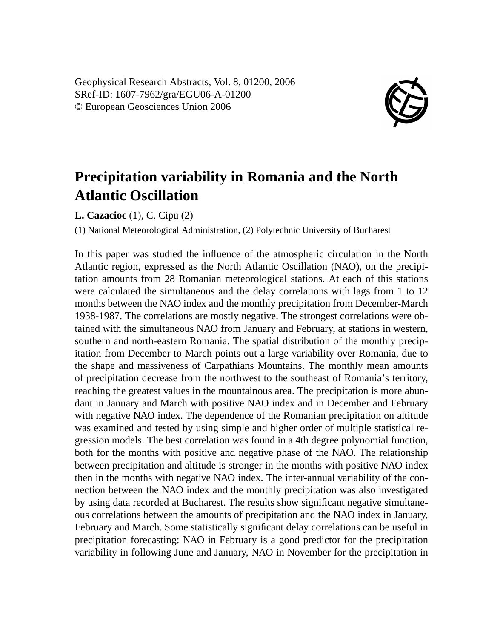Geophysical Research Abstracts, Vol. 8, 01200, 2006 SRef-ID: 1607-7962/gra/EGU06-A-01200 © European Geosciences Union 2006



## **Precipitation variability in Romania and the North Atlantic Oscillation**

**L. Cazacioc** (1), C. Cipu (2)

(1) National Meteorological Administration, (2) Polytechnic University of Bucharest

In this paper was studied the influence of the atmospheric circulation in the North Atlantic region, expressed as the North Atlantic Oscillation (NAO), on the precipitation amounts from 28 Romanian meteorological stations. At each of this stations were calculated the simultaneous and the delay correlations with lags from 1 to 12 months between the NAO index and the monthly precipitation from December-March 1938-1987. The correlations are mostly negative. The strongest correlations were obtained with the simultaneous NAO from January and February, at stations in western, southern and north-eastern Romania. The spatial distribution of the monthly precipitation from December to March points out a large variability over Romania, due to the shape and massiveness of Carpathians Mountains. The monthly mean amounts of precipitation decrease from the northwest to the southeast of Romania's territory, reaching the greatest values in the mountainous area. The precipitation is more abundant in January and March with positive NAO index and in December and February with negative NAO index. The dependence of the Romanian precipitation on altitude was examined and tested by using simple and higher order of multiple statistical regression models. The best correlation was found in a 4th degree polynomial function, both for the months with positive and negative phase of the NAO. The relationship between precipitation and altitude is stronger in the months with positive NAO index then in the months with negative NAO index. The inter-annual variability of the connection between the NAO index and the monthly precipitation was also investigated by using data recorded at Bucharest. The results show significant negative simultaneous correlations between the amounts of precipitation and the NAO index in January, February and March. Some statistically significant delay correlations can be useful in precipitation forecasting: NAO in February is a good predictor for the precipitation variability in following June and January, NAO in November for the precipitation in